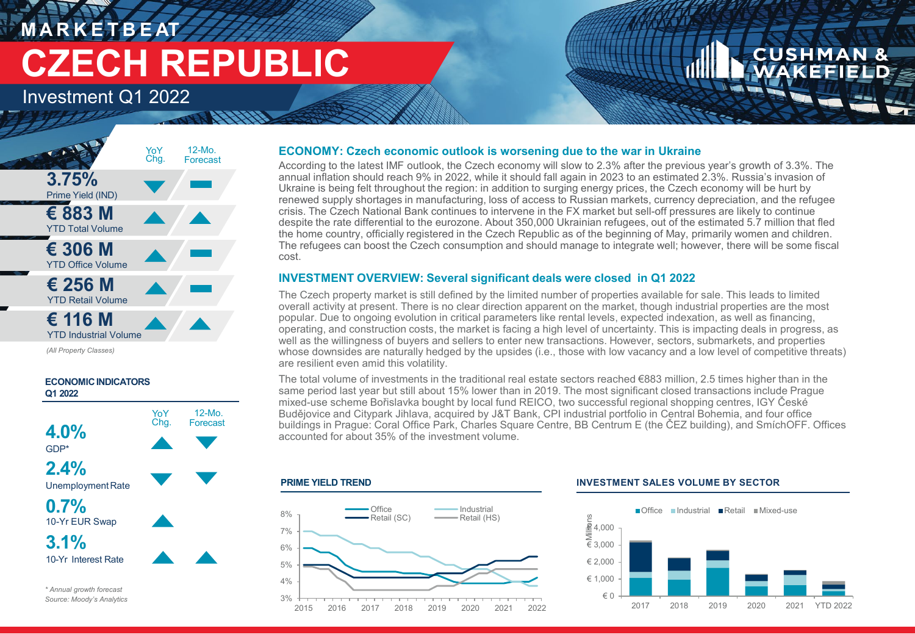## **M A R K E T B E AT CZECH REPUBLIC**

Investment Q1 2022



*(All Property Classes)*



#### **ECONOMY: Czech economic outlook is worsening due to the war in Ukraine**

According to the latest IMF outlook, the Czech economy will slow to 2.3% after the previous year's growth of 3.3%. The annual inflation should reach 9% in 2022, while it should fall again in 2023 to an estimated 2.3%. Russia's invasion of Ukraine is being felt throughout the region: in addition to surging energy prices, the Czech economy will be hurt by renewed supply shortages in manufacturing, loss of access to Russian markets, currency depreciation, and the refugee crisis. The Czech National Bank continues to intervene in the FX market but sell-off pressures are likely to continue despite the rate differential to the eurozone. About 350,000 Ukrainian refugees, out of the estimated 5.7 million that fled the home country, officially registered in the Czech Republic as of the beginning of May, primarily women and children. The refugees can boost the Czech consumption and should manage to integrate well; however, there will be some fiscal cost.

### **INVESTMENT OVERVIEW: Several significant deals were closed in Q1 2022**

The Czech property market is still defined by the limited number of properties available for sale. This leads to limited overall activity at present. There is no clear direction apparent on the market, though industrial properties are the most popular. Due to ongoing evolution in critical parameters like rental levels, expected indexation, as well as financing, operating, and construction costs, the market is facing a high level of uncertainty. This is impacting deals in progress, as well as the willingness of buyers and sellers to enter new transactions. However, sectors, submarkets, and properties whose downsides are naturally hedged by the upsides (i.e., those with low vacancy and a low level of competitive threats) are resilient even amid this volatility.

The total volume of investments in the traditional real estate sectors reached €883 million, 2.5 times higher than in the same period last year but still about 15% lower than in 2019. The most significant closed transactions include Prague mixed-use scheme Bořislavka bought by local fund REICO, two successful regional shopping centres, IGY České Budějovice and Citypark Jihlava, acquired by J&T Bank, CPI industrial portfolio in Central Bohemia, and four office buildings in Prague: Coral Office Park, Charles Square Centre, BB Centrum E (the ČEZ building), and SmíchOFF. Offices accounted for about 35% of the investment volume.

#### **PRIME YIELD TREND**



#### **INVESTMENT SALES VOLUME BY SECTOR**